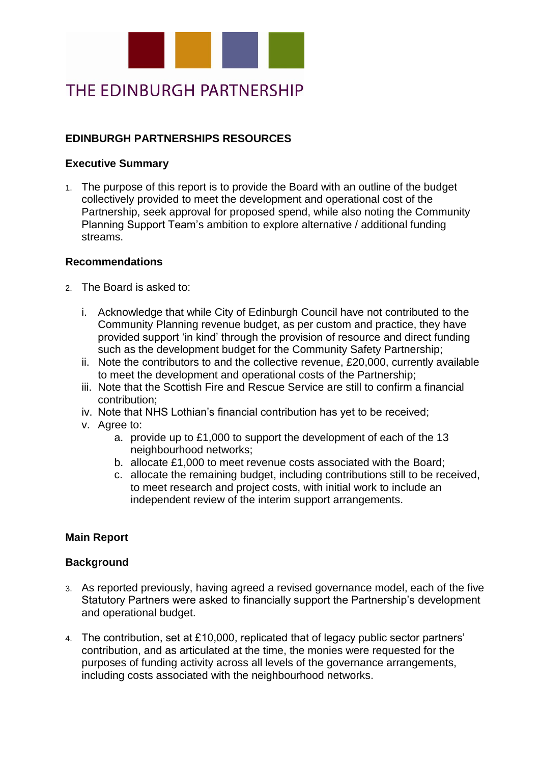

# THE EDINBURGH PARTNERSHIP

## **EDINBURGH PARTNERSHIPS RESOURCES**

### **Executive Summary**

1. The purpose of this report is to provide the Board with an outline of the budget collectively provided to meet the development and operational cost of the Partnership, seek approval for proposed spend, while also noting the Community Planning Support Team's ambition to explore alternative / additional funding streams.

### **Recommendations**

- 2. The Board is asked to:
	- i. Acknowledge that while City of Edinburgh Council have not contributed to the Community Planning revenue budget, as per custom and practice, they have provided support 'in kind' through the provision of resource and direct funding such as the development budget for the Community Safety Partnership;
	- ii. Note the contributors to and the collective revenue, £20,000, currently available to meet the development and operational costs of the Partnership;
	- iii. Note that the Scottish Fire and Rescue Service are still to confirm a financial contribution;
	- iv. Note that NHS Lothian's financial contribution has yet to be received;
	- v. Agree to:
		- a. provide up to £1,000 to support the development of each of the 13 neighbourhood networks;
		- b. allocate £1,000 to meet revenue costs associated with the Board;
		- c. allocate the remaining budget, including contributions still to be received, to meet research and project costs, with initial work to include an independent review of the interim support arrangements.

## **Main Report**

## **Background**

- 3. As reported previously, having agreed a revised governance model, each of the five Statutory Partners were asked to financially support the Partnership's development and operational budget.
- 4. The contribution, set at £10,000, replicated that of legacy public sector partners' contribution, and as articulated at the time, the monies were requested for the purposes of funding activity across all levels of the governance arrangements, including costs associated with the neighbourhood networks.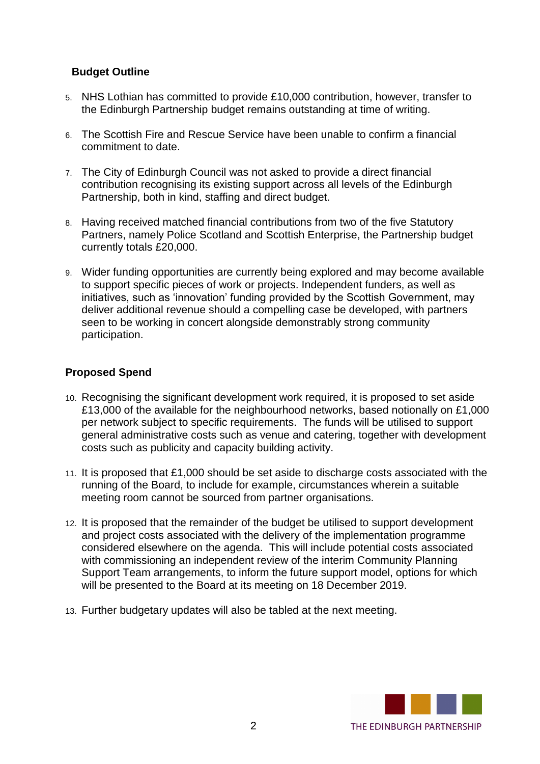### **Budget Outline**

- 5. NHS Lothian has committed to provide £10,000 contribution, however, transfer to the Edinburgh Partnership budget remains outstanding at time of writing.
- 6. The Scottish Fire and Rescue Service have been unable to confirm a financial commitment to date.
- 7. The City of Edinburgh Council was not asked to provide a direct financial contribution recognising its existing support across all levels of the Edinburgh Partnership, both in kind, staffing and direct budget.
- 8. Having received matched financial contributions from two of the five Statutory Partners, namely Police Scotland and Scottish Enterprise, the Partnership budget currently totals £20,000.
- 9. Wider funding opportunities are currently being explored and may become available to support specific pieces of work or projects. Independent funders, as well as initiatives, such as 'innovation' funding provided by the Scottish Government, may deliver additional revenue should a compelling case be developed, with partners seen to be working in concert alongside demonstrably strong community participation.

### **Proposed Spend**

- 10. Recognising the significant development work required, it is proposed to set aside £13,000 of the available for the neighbourhood networks, based notionally on £1,000 per network subject to specific requirements. The funds will be utilised to support general administrative costs such as venue and catering, together with development costs such as publicity and capacity building activity.
- 11. It is proposed that £1,000 should be set aside to discharge costs associated with the running of the Board, to include for example, circumstances wherein a suitable meeting room cannot be sourced from partner organisations.
- 12. It is proposed that the remainder of the budget be utilised to support development and project costs associated with the delivery of the implementation programme considered elsewhere on the agenda. This will include potential costs associated with commissioning an independent review of the interim Community Planning Support Team arrangements, to inform the future support model, options for which will be presented to the Board at its meeting on 18 December 2019.
- 13. Further budgetary updates will also be tabled at the next meeting.